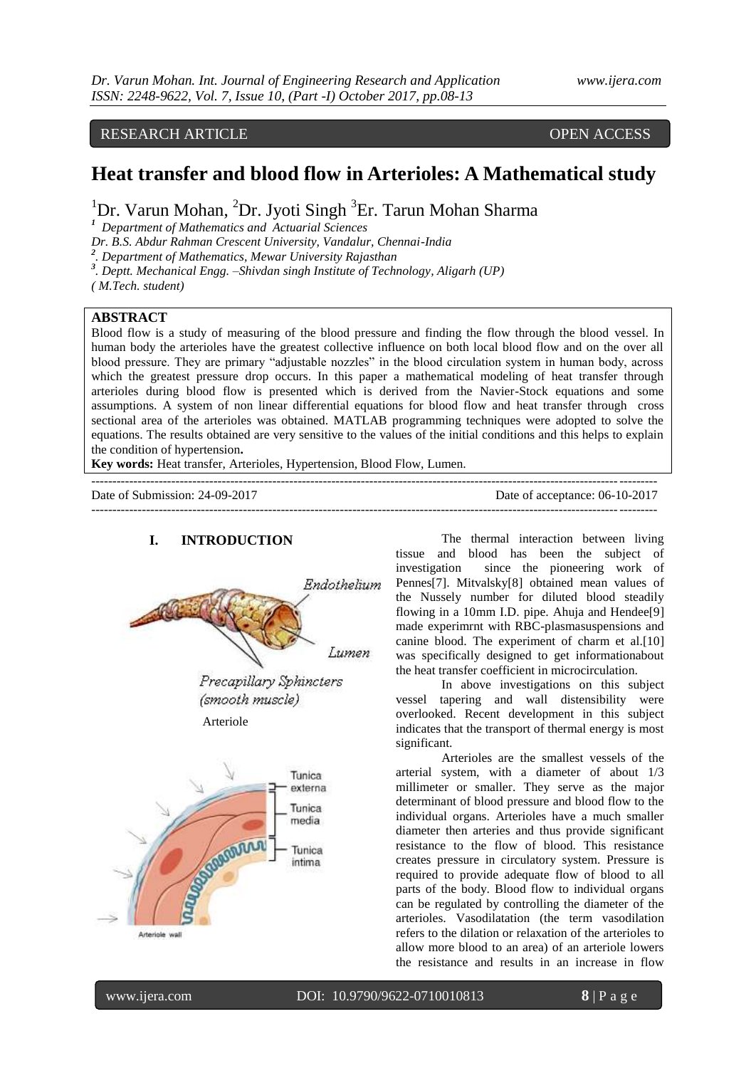## RESEARCH ARTICLE OPEN ACCESS

# **Heat transfer and blood flow in Arterioles: A Mathematical study**

<sup>1</sup>Dr. Varun Mohan, <sup>2</sup>Dr. Jyoti Singh <sup>3</sup>Er. Tarun Mohan Sharma

*1 Department of Mathematics and Actuarial Sciences*

*Dr. B.S. Abdur Rahman Crescent University, Vandalur, Chennai-India* 

*2 . Department of Mathematics, Mewar University Rajasthan*

*3 . Deptt. Mechanical Engg. –Shivdan singh Institute of Technology, Aligarh (UP)* 

*( M.Tech. student)*

#### **ABSTRACT**

Blood flow is a study of measuring of the blood pressure and finding the flow through the blood vessel. In human body the arterioles have the greatest collective influence on both local blood flow and on the over all blood pressure. They are primary "adjustable nozzles" in the blood circulation system in human body, across which the greatest pressure drop occurs. In this paper a mathematical modeling of heat transfer through arterioles during blood flow is presented which is derived from the Navier-Stock equations and some assumptions. A system of non linear differential equations for blood flow and heat transfer through cross sectional area of the arterioles was obtained. MATLAB programming techniques were adopted to solve the equations. The results obtained are very sensitive to the values of the initial conditions and this helps to explain the condition of hypertension**.**

**Key words:** Heat transfer, Arterioles, Hypertension, Blood Flow, Lumen.

| Date of Submission: 24-09-2017 | Date of acceptance: 06-10-2017 |
|--------------------------------|--------------------------------|
|                                |                                |



#### **I. INTRODUCTION**

The thermal interaction between living tissue and blood has been the subject of investigation since the pioneering work of Pennes[7]. Mitvalsky[8] obtained mean values of the Nussely number for diluted blood steadily flowing in a 10mm I.D. pipe. Ahuja and Hendee[9] made experimrnt with RBC-plasmasuspensions and canine blood. The experiment of charm et al.[10] was specifically designed to get informationabout the heat transfer coefficient in microcirculation.

In above investigations on this subject vessel tapering and wall distensibility were overlooked. Recent development in this subject indicates that the transport of thermal energy is most significant.

Arterioles are the smallest vessels of the arterial system, with a diameter of about 1/3 millimeter or smaller. They serve as the major determinant of blood pressure and blood flow to the individual organs. Arterioles have a much smaller diameter then arteries and thus provide significant resistance to the flow of blood. This resistance creates pressure in circulatory system. Pressure is required to provide adequate flow of blood to all parts of the body. Blood flow to individual organs can be regulated by controlling the diameter of the arterioles. Vasodilatation (the term vasodilation refers to the dilation or relaxation of the arterioles to allow more blood to an area) of an arteriole lowers the resistance and results in an increase in flow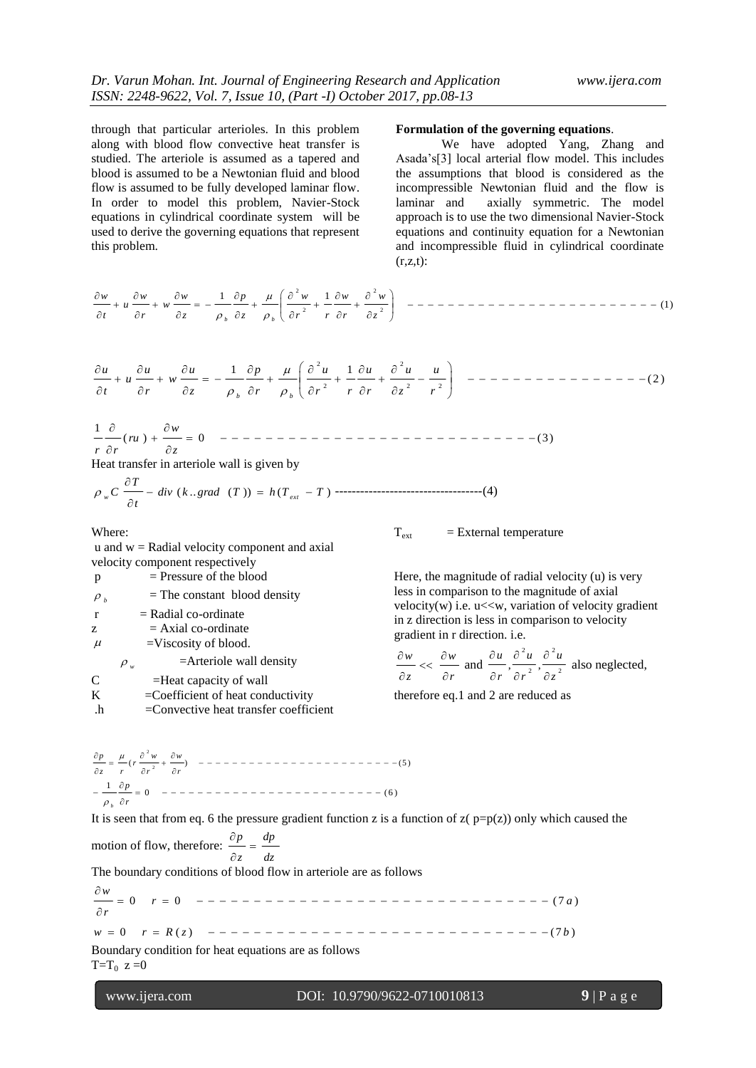through that particular arterioles. In this problem along with blood flow convective heat transfer is studied. The arteriole is assumed as a tapered and blood is assumed to be a Newtonian fluid and blood flow is assumed to be fully developed laminar flow. In order to model this problem, Navier-Stock equations in cylindrical coordinate system will be used to derive the governing equations that represent this problem.

#### **Formulation of the governing equations**.

We have adopted Yang, Zhang and Asada's[3] local arterial flow model. This includes the assumptions that blood is considered as the incompressible Newtonian fluid and the flow is laminar and axially symmetric. The model approach is to use the two dimensional Navier-Stock equations and continuity equation for a Newtonian and incompressible fluid in cylindrical coordinate  $(r,z,t)$ :

(1) 1 1 2 2 2 2 *z w r w r r w z p z w w r w u t w b b* 

$$
\frac{\partial u}{\partial t} + u \frac{\partial u}{\partial r} + w \frac{\partial u}{\partial z} = -\frac{1}{\rho_b} \frac{\partial p}{\partial r} + \frac{\mu}{\rho_b} \left( \frac{\partial^2 u}{\partial r^2} + \frac{1}{r} \frac{\partial u}{\partial r} + \frac{\partial^2 u}{\partial z^2} - \frac{u}{r^2} \right) \quad --- \quad --- \quad --- \quad --- \quad --- \tag{2}
$$

( ) 0 (3) 1  $\hat{c}$  $+\frac{\partial}{\partial}$  $\partial$  $\partial$ *z ru* ) +  $\frac{\partial w}{\partial x}$ *r r*

Heat transfer in arteriole wall is given by

$$
\rho_{w} C \frac{\partial T}{\partial t} - \text{div} \ (k \dots \text{grad} \ (T)) = h(T_{ext} - T) \ \text{---}
$$

Where:

 $u$  and  $w =$  Radial velocity component and axial velocity component respectively  $\frac{1}{2}$  of the blood

|                     | $=$ Pressure of the plood              |
|---------------------|----------------------------------------|
| $\rho$ <sub>b</sub> | $=$ The constant blood density         |
| $\mathbf{r}$        | $=$ Radial co-ordinate                 |
| Z                   | $= Axial co-ordinate$                  |
| $\mu$               | $=$ Viscosity of blood.                |
|                     | $=$ Arteriole wall density<br>$\rho_w$ |
| C                   | $=$ Heat capacity of wall              |
| K                   | $=$ Coefficient of heat conductivity   |
|                     |                                        |

.h =Convective heat transfer coefficient

 $T_{ext}$  = External temperature

Here, the magnitude of radial velocity (u) is very less in comparison to the magnitude of axial velocity $(w)$  i.e.  $u \ll w$ , variation of velocity gradient in z direction is less in comparison to velocity gradient in r direction. i.e.

$$
\frac{\partial w}{\partial z} << \frac{\partial w}{\partial r} \text{ and } \frac{\partial u}{\partial r}, \frac{\partial^2 u}{\partial r^2}, \frac{\partial^2 u}{\partial z^2} \text{ also neglected,}
$$

therefore eq.1 and 2 are reduced as

( ) (5 ) 2 2  $rac{\partial^2 w}{\partial r^2} + \frac{\partial^2 w}{\partial r^2}$  $\frac{\partial p}{\partial z} = \frac{\mu}{r} (r \frac{\partial}{\partial z})$ ð, *r w r*  $\frac{p}{z} = \frac{\mu}{r} \left( r \frac{\partial^2 w}{\partial r^2} \right)$ *p*  $\mu$ 0 (6 ) 1  $-\frac{1}{\rho_{h}}\frac{\partial p}{\partial r}$ *p*  $\rho_{_{|b}}$ 

It is seen that from eq. 6 the pressure gradient function z is a function of  $z(p=p(z))$  only which caused the

motion of flow, therefore: *dz dp z*  $\frac{p}{p}$  =  $\hat{o}$  $\partial$ 

The boundary conditions of blood flow in arteriole are as follows

0 ( ) (7 ) 0 0 (7 ) *w r R z b r a r w* 

Boundary condition for heat equations are as follows  $T=T_0$  z =0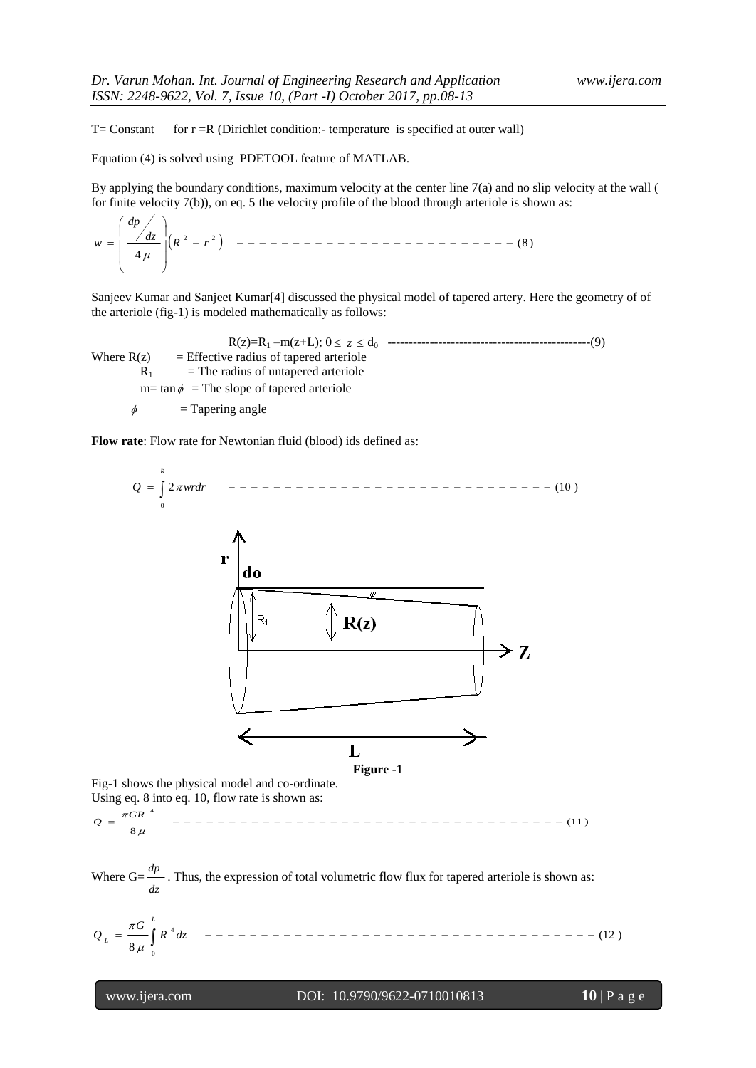$T=$  Constant for  $r = R$  (Dirichlet condition:- temperature is specified at outer wall)

Equation (4) is solved using PDETOOL feature of MATLAB.

By applying the boundary conditions, maximum velocity at the center line  $7(a)$  and no slip velocity at the wall ( for finite velocity 7(b)), on eq. 5 the velocity profile of the blood through arteriole is shown as:

 (8 ) 4 2 2 *dp R r dz w* 

Sanjeev Kumar and Sanjeet Kumar[4] discussed the physical model of tapered artery. Here the geometry of of the arteriole (fig-1) is modeled mathematically as follows:

R(z)=R<sup>1</sup> –m(z+L); 0 *z* d0 ------------------------------------------------(9) Where  $R(z)$  = Effective radius of tapered arteriole  $R_1$  = The radius of untapered arteriole  $m= \tan \phi$  = The slope of tapered arteriole

 $\phi$  = Tapering angle

**Flow rate**: Flow rate for Newtonian fluid (blood) ids defined as:



**Figure -1**

Fig-1 shows the physical model and co-ordinate. Using eq. 8 into eq. 10, flow rate is shown as:

(11 ) 8 4 *GR Q*

Where G= *dz dp* . Thus, the expression of total volumetric flow flux for tapered arteriole is shown as:

 *L L R dz G Q* 0 4 (12 ) 8 

#### www.ijera.com DOI: 10.9790/9622-0710010813 **10** | P a g e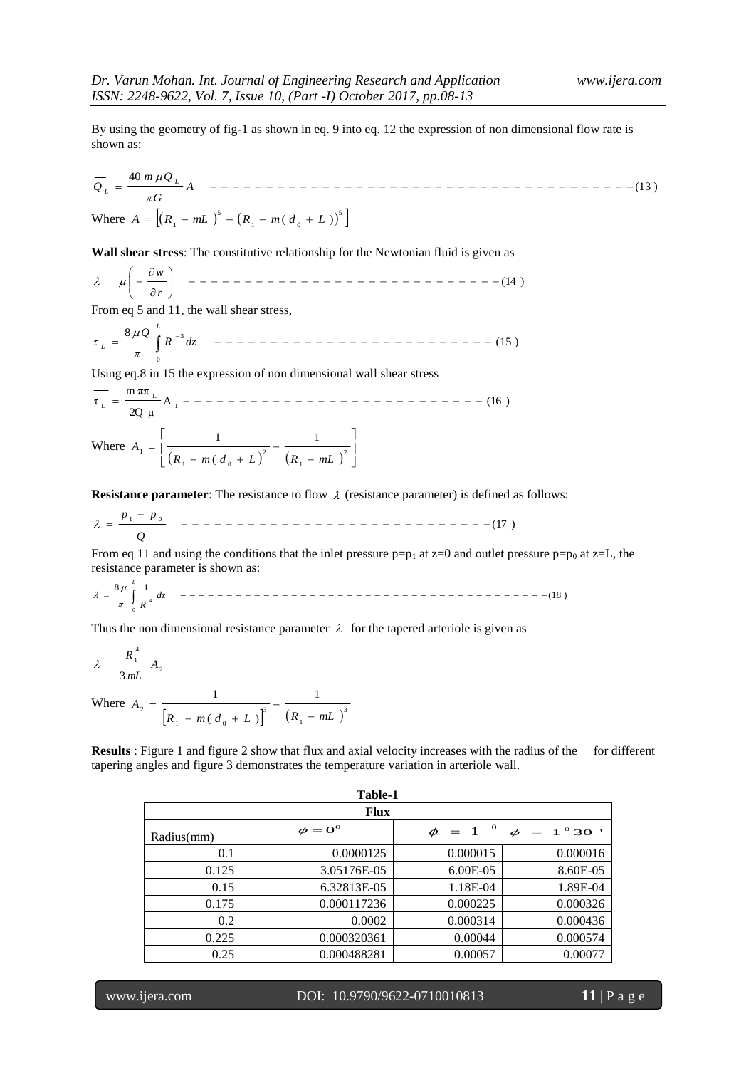By using the geometry of fig-1 as shown in eq. 9 into eq. 12 the expression of non dimensional flow rate is shown as:

(13 ) 40 *A G m Q Q L L* Where 5 1 0 5 1 *A R mL R m*( *d L* )

**Wall shear stress**: The constitutive relationship for the Newtonian fluid is given as

 (14 ) *r w* 

From eq 5 and 11, the wall shear stress,

$$
\tau_{L} = \frac{8 \mu Q}{\pi} \int_{0}^{L} R^{-3} dz \quad --- \quad --- \quad --- \quad --- \quad --- \quad --- \quad --- \quad --- \quad --- \quad --- \quad --- \quad (15)
$$

Using eq.8 in 15 the expression of non dimensional wall shear stress

A (16 ) 2Q μ m ππ τ 1 L L Where 1 1 0 ( *R m d L R mL* <sup>2</sup> 2 1 1 1 *A*

**Resistance parameter**: The resistance to flow  $\lambda$  (resistance parameter) is defined as follows:

(17 ) 1 0 *Q p p* 

From eq 11 and using the conditions that the inlet pressure  $p=p_1$  at z=0 and outlet pressure  $p=p_0$  at z=L, the resistance parameter is shown as:

$$
\lambda = \frac{8\mu}{\pi} \int_{0}^{L} \frac{1}{R^4} dz
$$

Thus the non dimensional resistance parameter  $\lambda$  for the tapered arteriole is given as

$$
\overline{\lambda} = \frac{R_1^4}{3mL} A_2
$$

Where  $\left[R_{1} - m\left(d_{0} + L\right)\right]^{3} \left(R_{1} - mL\right)^{3}$ 1 3 1  $\cdots$   $\cdots$  0 2 1  $(d_{0} + L)$ 1  $R_{\perp} - m(d_{\rho} + L)$   $(R_{\perp} - mL)$ *A* ÷,  $\overline{a}$  $- m (d_0 +$  $=$ 

**Results** : Figure 1 and figure 2 show that flux and axial velocity increases with the radius of the for different tapering angles and figure 3 demonstrates the temperature variation in arteriole wall.

| Table-1     |                    |                           |            |  |  |  |  |
|-------------|--------------------|---------------------------|------------|--|--|--|--|
| <b>Flux</b> |                    |                           |            |  |  |  |  |
| Radius(mm)  | $\phi = 0^{\circ}$ | $\mathbf 0$<br>$\phi = 1$ | $1^{o}30'$ |  |  |  |  |
| 0.1         | 0.0000125          | 0.000015                  | 0.000016   |  |  |  |  |
| 0.125       | 3.05176E-05        | 6.00E-05                  | 8.60E-05   |  |  |  |  |
| 0.15        | 6.32813E-05        | 1.18E-04                  | 1.89E-04   |  |  |  |  |
| 0.175       | 0.000117236        | 0.000225                  | 0.000326   |  |  |  |  |
| 0.2         | 0.0002             | 0.000314                  | 0.000436   |  |  |  |  |
| 0.225       | 0.000320361        | 0.00044                   | 0.000574   |  |  |  |  |
| 0.25        | 0.000488281        | 0.00057                   | 0.00077    |  |  |  |  |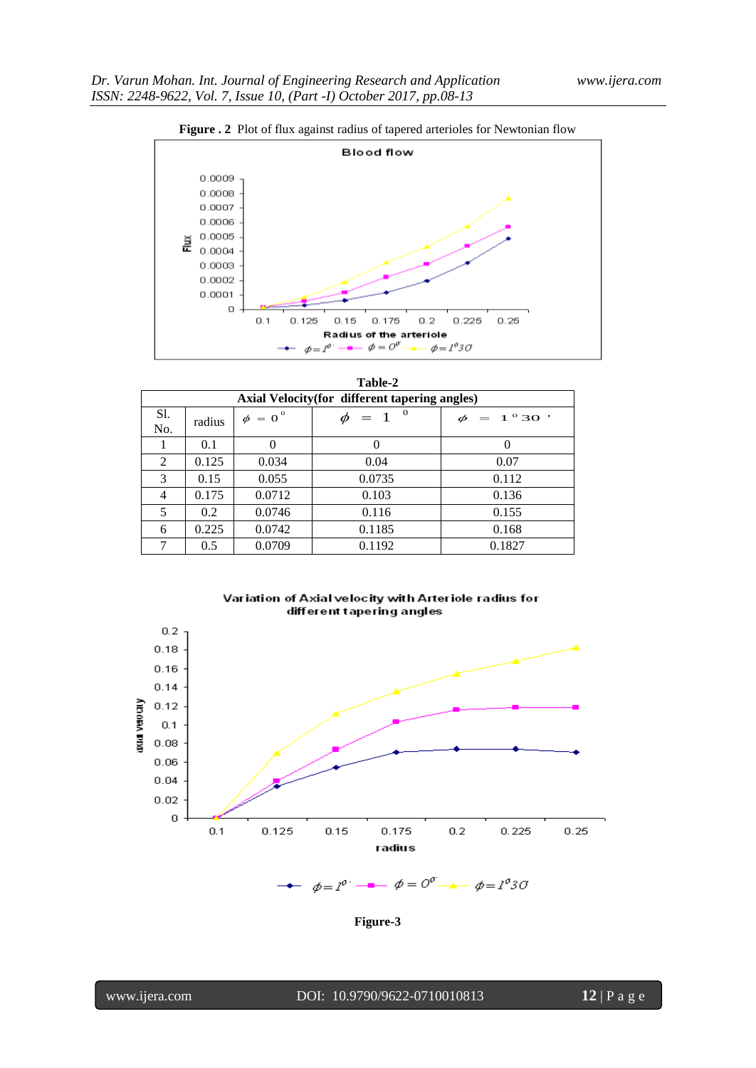



| Table-2                                        |        |              |                        |                        |  |  |  |
|------------------------------------------------|--------|--------------|------------------------|------------------------|--|--|--|
| Axial Velocity (for different tapering angles) |        |              |                        |                        |  |  |  |
| Sl.<br>No.                                     | radius | $\phi = 0^0$ | $\theta$<br>$\phi = 1$ | $\phi = 1^{\circ} 30'$ |  |  |  |
|                                                | 0.1    | $\Omega$     | 0                      |                        |  |  |  |
| 2                                              | 0.125  | 0.034        | 0.04                   | 0.07                   |  |  |  |
| 3                                              | 0.15   | 0.055        | 0.0735                 | 0.112                  |  |  |  |
| 4                                              | 0.175  | 0.0712       | 0.103                  | 0.136                  |  |  |  |
| 5                                              | 0.2    | 0.0746       | 0.116                  | 0.155                  |  |  |  |
| 6                                              | 0.225  | 0.0742       | 0.1185                 | 0.168                  |  |  |  |
|                                                | 0.5    | 0.0709       | 0.1192                 | 0.1827                 |  |  |  |





**Figure-3**